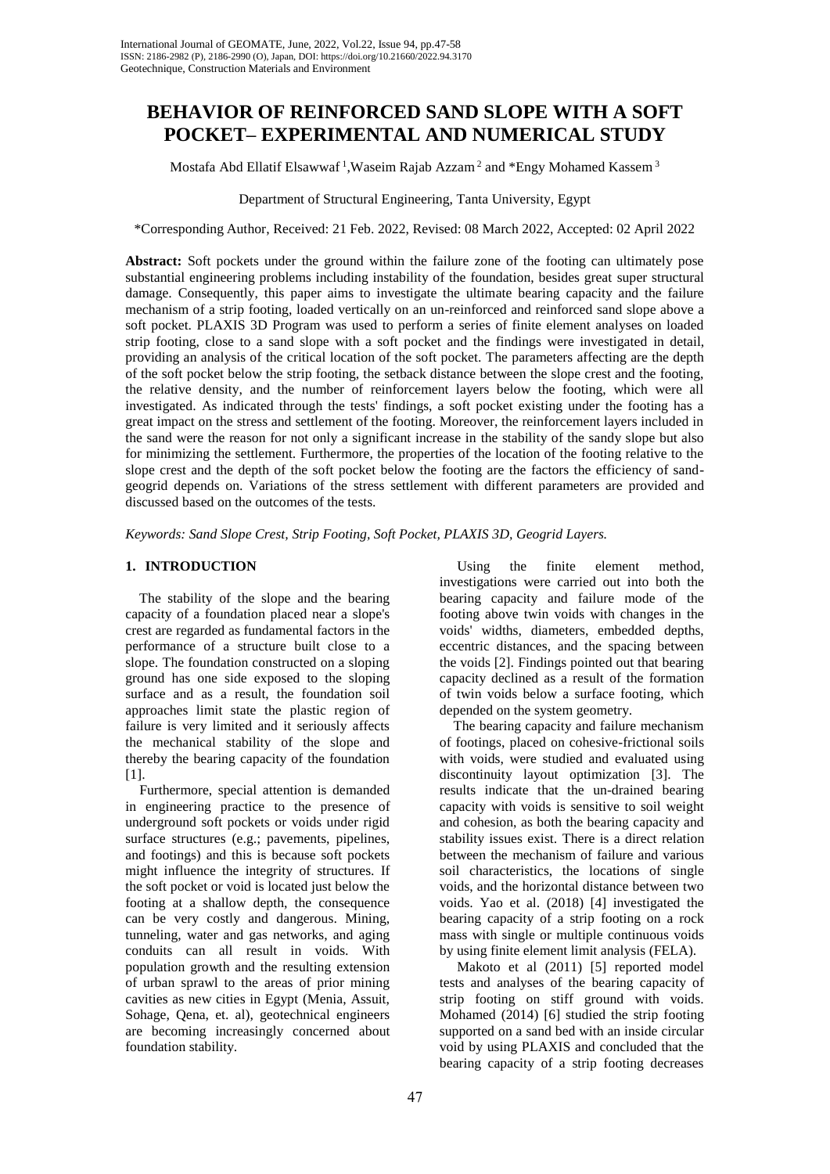# **BEHAVIOR OF REINFORCED SAND SLOPE WITH A SOFT POCKET– EXPERIMENTAL AND NUMERICAL STUDY**

Mostafa Abd Ellatif Elsawwaf<sup>1</sup>, Waseim Rajab Azzam<sup>2</sup> and \*Engy Mohamed Kassem<sup>3</sup>

Department of Structural Engineering, Tanta University, Egypt

\*Corresponding Author, Received: 21 Feb. 2022, Revised: 08 March 2022, Accepted: 02 April 2022

**Abstract:** Soft pockets under the ground within the failure zone of the footing can ultimately pose substantial engineering problems including instability of the foundation, besides great super structural damage. Consequently, this paper aims to investigate the ultimate bearing capacity and the failure mechanism of a strip footing, loaded vertically on an un-reinforced and reinforced sand slope above a soft pocket. PLAXIS 3D Program was used to perform a series of finite element analyses on loaded strip footing, close to a sand slope with a soft pocket and the findings were investigated in detail, providing an analysis of the critical location of the soft pocket. The parameters affecting are the depth of the soft pocket below the strip footing, the setback distance between the slope crest and the footing, the relative density, and the number of reinforcement layers below the footing, which were all investigated. As indicated through the tests' findings, a soft pocket existing under the footing has a great impact on the stress and settlement of the footing. Moreover, the reinforcement layers included in the sand were the reason for not only a significant increase in the stability of the sandy slope but also for minimizing the settlement. Furthermore, the properties of the location of the footing relative to the slope crest and the depth of the soft pocket below the footing are the factors the efficiency of sandgeogrid depends on. Variations of the stress settlement with different parameters are provided and discussed based on the outcomes of the tests.

*Keywords: Sand Slope Crest, Strip Footing, Soft Pocket, PLAXIS 3D, Geogrid Layers.*

## **1. INTRODUCTION**

 The stability of the slope and the bearing capacity of a foundation placed near a slope's crest are regarded as fundamental factors in the performance of a structure built close to a slope. The foundation constructed on a sloping ground has one side exposed to the sloping surface and as a result, the foundation soil approaches limit state the plastic region of failure is very limited and it seriously affects the mechanical stability of the slope and thereby the bearing capacity of the foundation [1].

 Furthermore, special attention is demanded in engineering practice to the presence of underground soft pockets or voids under rigid surface structures (e.g.; pavements, pipelines, and footings) and this is because soft pockets might influence the integrity of structures. If the soft pocket or void is located just below the footing at a shallow depth, the consequence can be very costly and dangerous. Mining, tunneling, water and gas networks, and aging conduits can all result in voids. With population growth and the resulting extension of urban sprawl to the areas of prior mining cavities as new cities in Egypt (Menia, Assuit, Sohage, Qena, et. al), geotechnical engineers are becoming increasingly concerned about foundation stability.

 Using the finite element method, investigations were carried out into both the bearing capacity and failure mode of the footing above twin voids with changes in the voids' widths, diameters, embedded depths, eccentric distances, and the spacing between the voids [2]. Findings pointed out that bearing capacity declined as a result of the formation of twin voids below a surface footing, which depended on the system geometry.

 The bearing capacity and failure mechanism of footings, placed on cohesive-frictional soils with voids, were studied and evaluated using discontinuity layout optimization [3]. The results indicate that the un-drained bearing capacity with voids is sensitive to soil weight and cohesion, as both the bearing capacity and stability issues exist. There is a direct relation between the mechanism of failure and various soil characteristics, the locations of single voids, and the horizontal distance between two voids. Yao et al. (2018) [4] investigated the bearing capacity of a strip footing on a rock mass with single or multiple continuous voids by using finite element limit analysis (FELA).

 Makoto et al (2011) [5] reported model tests and analyses of the bearing capacity of strip footing on stiff ground with voids. Mohamed (2014) [6] studied the strip footing supported on a sand bed with an inside circular void by using PLAXIS and concluded that the bearing capacity of a strip footing decreases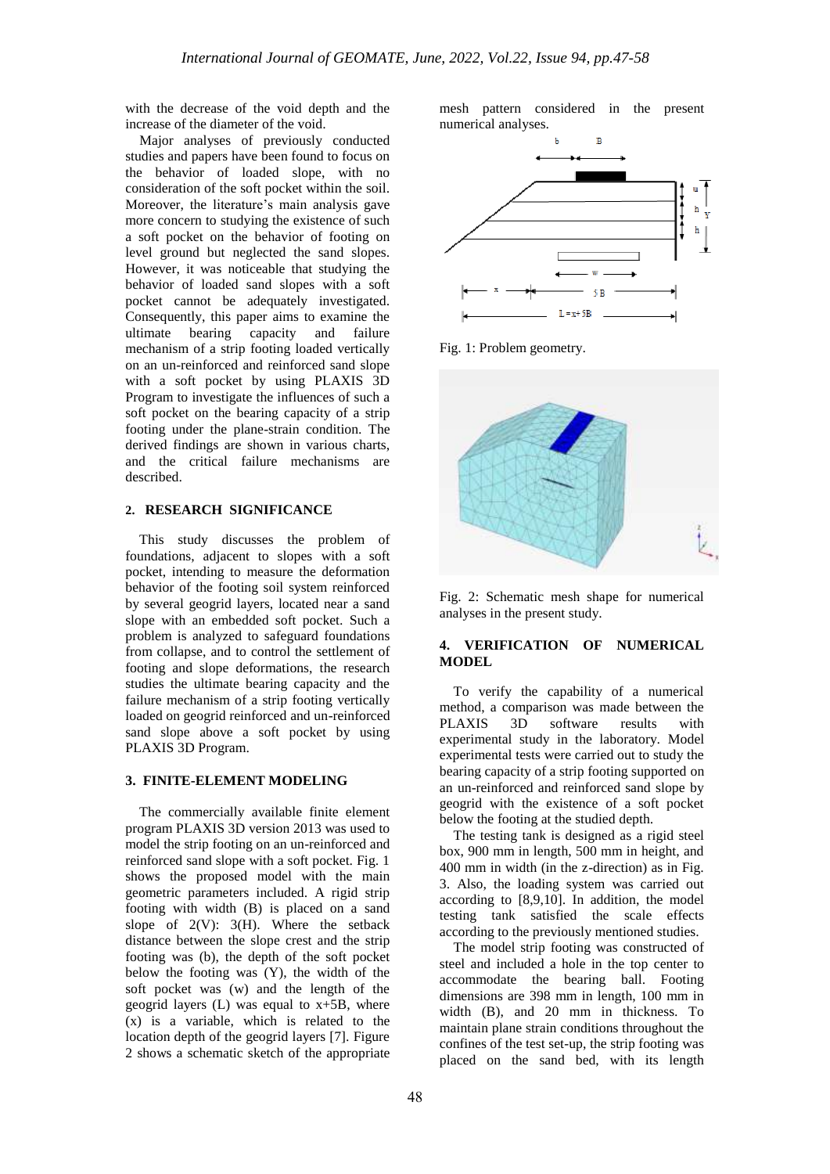with the decrease of the void depth and the increase of the diameter of the void.

 Major analyses of previously conducted studies and papers have been found to focus on the behavior of loaded slope, with no consideration of the soft pocket within the soil. Moreover, the literature's main analysis gave more concern to studying the existence of such a soft pocket on the behavior of footing on level ground but neglected the sand slopes. However, it was noticeable that studying the behavior of loaded sand slopes with a soft pocket cannot be adequately investigated. Consequently, this paper aims to examine the ultimate bearing capacity and failure mechanism of a strip footing loaded vertically on an un-reinforced and reinforced sand slope with a soft pocket by using PLAXIS 3D Program to investigate the influences of such a soft pocket on the bearing capacity of a strip footing under the plane-strain condition. The derived findings are shown in various charts, and the critical failure mechanisms are described.

## **2. RESEARCH SIGNIFICANCE**

 This study discusses the problem of foundations, adjacent to slopes with a soft pocket, intending to measure the deformation behavior of the footing soil system reinforced by several geogrid layers, located near a sand slope with an embedded soft pocket. Such a problem is analyzed to safeguard foundations from collapse, and to control the settlement of footing and slope deformations, the research studies the ultimate bearing capacity and the failure mechanism of a strip footing vertically loaded on geogrid reinforced and un-reinforced sand slope above a soft pocket by using PLAXIS 3D Program.

## **3. FINITE-ELEMENT MODELING**

 The commercially available finite element program PLAXIS 3D version 2013 was used to model the strip footing on an un-reinforced and reinforced sand slope with a soft pocket. Fig. 1 shows the proposed model with the main geometric parameters included. A rigid strip footing with width (B) is placed on a sand slope of  $2(V)$ :  $3(H)$ . Where the setback distance between the slope crest and the strip footing was (b), the depth of the soft pocket below the footing was (Y), the width of the soft pocket was (w) and the length of the geogrid layers (L) was equal to x+5B, where (x) is a variable, which is related to the location depth of the geogrid layers [7]. Figure 2 shows a schematic sketch of the appropriate

mesh pattern considered in the present numerical analyses.



Fig. 1: Problem geometry.





### **4. VERIFICATION OF NUMERICAL MODEL**

 To verify the capability of a numerical method, a comparison was made between the PLAXIS 3D software results with experimental study in the laboratory. Model experimental tests were carried out to study the bearing capacity of a strip footing supported on an un-reinforced and reinforced sand slope by geogrid with the existence of a soft pocket below the footing at the studied depth.

 The testing tank is designed as a rigid steel box, 900 mm in length, 500 mm in height, and 400 mm in width (in the z-direction) as in Fig. 3. Also, the loading system was carried out according to [8,9,10]. In addition, the model testing tank satisfied the scale effects according to the previously mentioned studies.

 The model strip footing was constructed of steel and included a hole in the top center to accommodate the bearing ball. Footing dimensions are 398 mm in length, 100 mm in width (B), and 20 mm in thickness. To maintain plane strain conditions throughout the confines of the test set-up, the strip footing was placed on the sand bed, with its length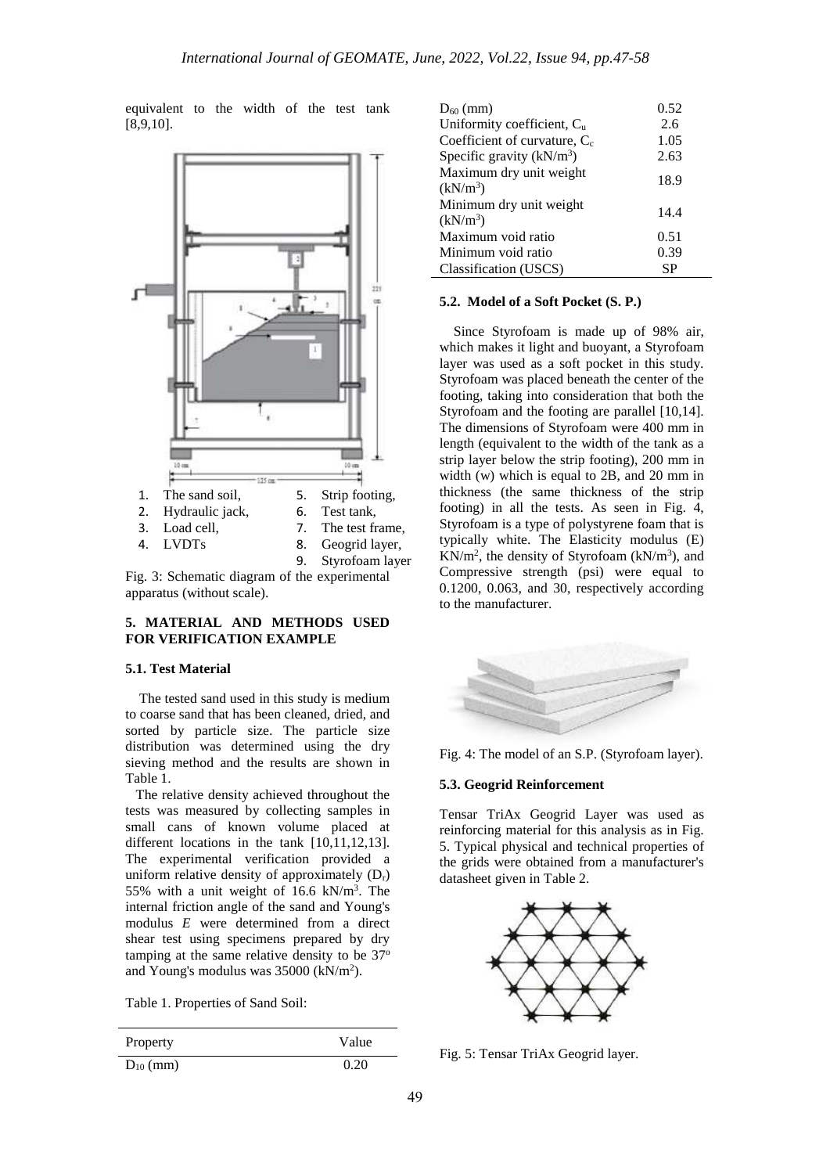equivalent to the width of the test tank [8,9,10].



Fig. 3: Schematic diagram of the experimental apparatus (without scale).

# **5. MATERIAL AND METHODS USED FOR VERIFICATION EXAMPLE**

#### **5.1. Test Material**

 The tested sand used in this study is medium to coarse sand that has been cleaned, dried, and sorted by particle size. The particle size distribution was determined using the dry sieving method and the results are shown in Table 1.

 The relative density achieved throughout the tests was measured by collecting samples in small cans of known volume placed at different locations in the tank [10,11,12,13]. The experimental verification provided a uniform relative density of approximately  $(D_r)$ 55% with a unit weight of 16.6  $kN/m<sup>3</sup>$ . The internal friction angle of the sand and Young's modulus *E* were determined from a direct shear test using specimens prepared by dry tamping at the same relative density to be  $37^\circ$ and Young's modulus was  $35000$  (kN/m<sup>2</sup>).

Table 1. Properties of Sand Soil:

| Property      | Value |
|---------------|-------|
| $D_{10}$ (mm) | 0.20  |

| $D_{60}$ (mm)                                   | 0.52      |
|-------------------------------------------------|-----------|
| Uniformity coefficient, Cu                      | 2.6       |
| Coefficient of curvature, $C_c$                 | 1.05      |
| Specific gravity $(kN/m^3)$                     | 2.63      |
| Maximum dry unit weight<br>(kN/m <sup>3</sup> ) | 18.9      |
| Minimum dry unit weight<br>(kN/m <sup>3</sup> ) | 14.4      |
| Maximum void ratio                              | 0.51      |
| Minimum void ratio                              | 0.39      |
| Classification (USCS)                           | <b>SP</b> |

## **5.2. Model of a Soft Pocket (S. P.)**

 Since Styrofoam is made up of 98% air, which makes it light and buoyant, a Styrofoam layer was used as a soft pocket in this study. Styrofoam was placed beneath the center of the footing, taking into consideration that both the Styrofoam and the footing are parallel [10,14]. The dimensions of Styrofoam were 400 mm in length (equivalent to the width of the tank as a strip layer below the strip footing), 200 mm in width (w) which is equal to 2B, and 20 mm in thickness (the same thickness of the strip footing) in all the tests. As seen in Fig.  $4$ , Styrofoam is a type of polystyrene foam that is typically white. The Elasticity modulus (E)  $KN/m^2$ , the density of Styrofoam  $(kN/m^3)$ , and Compressive strength (psi) were equal to 0.1200, 0.063, and 30, respectively according to the manufacturer.



Fig. 4: The model of an S.P. (Styrofoam layer).

## **5.3. Geogrid Reinforcement**

Tensar TriAx Geogrid Layer was used as reinforcing material for this analysis as in Fig. 5. Typical physical and technical properties of the grids were obtained from a manufacturer's datasheet given in Table 2.



Fig. 5: Tensar TriAx Geogrid layer.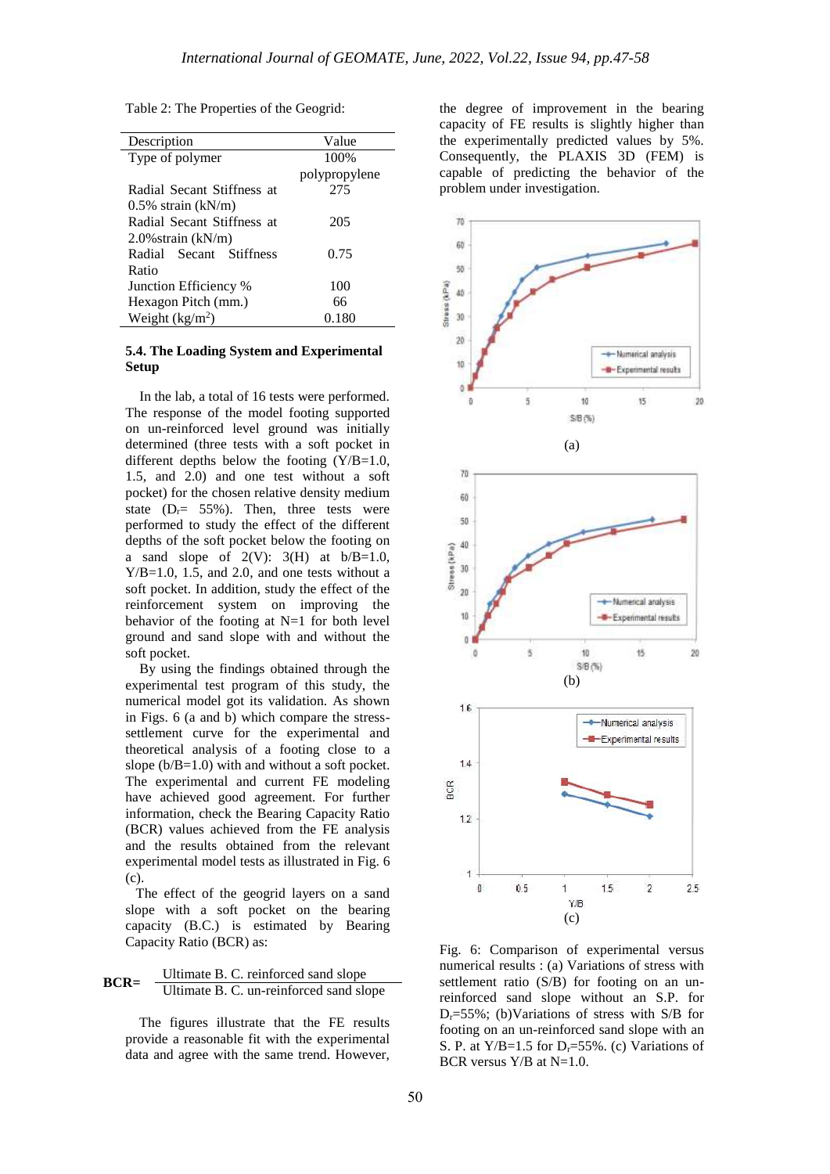Table 2: The Properties of the Geogrid:

| Description                | Value         |
|----------------------------|---------------|
| Type of polymer            | 100%          |
|                            | polypropylene |
| Radial Secant Stiffness at | 275           |
| $0.5\%$ strain (kN/m)      |               |
| Radial Secant Stiffness at | 205           |
| $2.0\%$ strain (kN/m)      |               |
| Radial Secant Stiffness    | 0.75          |
| Ratio                      |               |
| Junction Efficiency %      | 100           |
| Hexagon Pitch (mm.)        | 66            |
| Weight $(kg/m2)$           | 0.180         |

## **5.4. The Loading System and Experimental Setup**

 In the lab, a total of 16 tests were performed. The response of the model footing supported on un-reinforced level ground was initially determined (three tests with a soft pocket in different depths below the footing (Y/B=1.0, 1.5, and 2.0) and one test without a soft pocket) for the chosen relative density medium state  $(D_r = 55\%)$ . Then, three tests were performed to study the effect of the different depths of the soft pocket below the footing on a sand slope of  $2(V)$ :  $3(H)$  at  $b/B=1.0$ ,  $Y/B=1.0$ , 1.5, and 2.0, and one tests without a soft pocket. In addition, study the effect of the reinforcement system on improving the behavior of the footing at N=1 for both level ground and sand slope with and without the soft pocket.

 By using the findings obtained through the experimental test program of this study, the numerical model got its validation. As shown in Figs. 6 (a and b) which compare the stresssettlement curve for the experimental and theoretical analysis of a footing close to a slope ( $b/B=1.0$ ) with and without a soft pocket. The experimental and current FE modeling have achieved good agreement. For further information, check the Bearing Capacity Ratio (BCR) values achieved from the FE analysis and the results obtained from the relevant experimental model tests as illustrated in Fig. 6 (c).

 The effect of the geogrid layers on a sand slope with a soft pocket on the bearing capacity (B.C.) is estimated by Bearing Capacity Ratio (BCR) as:



 The figures illustrate that the FE results provide a reasonable fit with the experimental data and agree with the same trend. However,

the degree of improvement in the bearing capacity of FE results is slightly higher than the experimentally predicted values by 5%. Consequently, the PLAXIS 3D (FEM) is capable of predicting the behavior of the problem under investigation.



Fig. 6: Comparison of experimental versus numerical results : (a) Variations of stress with settlement ratio (S/B) for footing on an unreinforced sand slope without an S.P. for  $D_r = 55\%$ ; (b)Variations of stress with S/B for footing on an un-reinforced sand slope with an S. P. at  $Y/B=1.5$  for  $D_r=55\%$ . (c) Variations of BCR versus  $Y/B$  at  $N=1.0$ .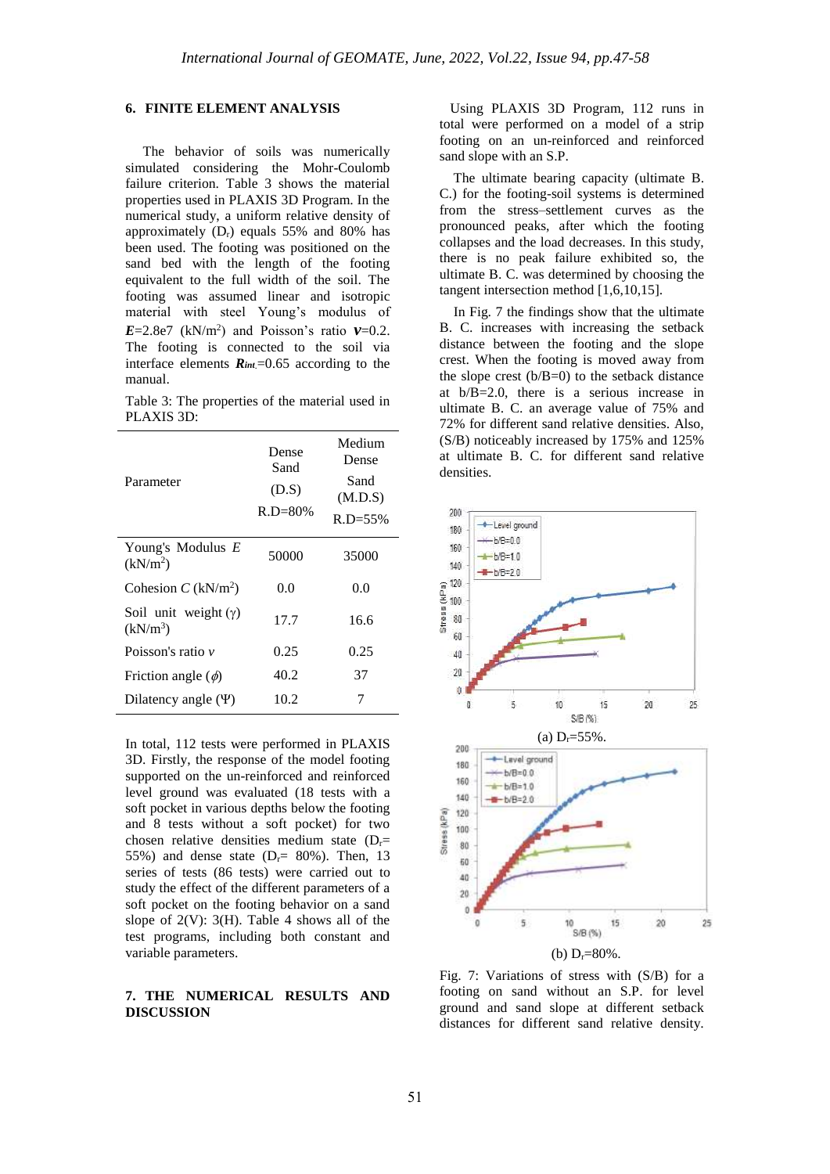#### **6. FINITE ELEMENT ANALYSIS**

 The behavior of soils was numerically simulated considering the Mohr-Coulomb failure criterion. Table 3 shows the material properties used in PLAXIS 3D Program. In the numerical study, a uniform relative density of approximately  $(D_r)$  equals 55% and 80% has been used. The footing was positioned on the sand bed with the length of the footing equivalent to the full width of the soil. The footing was assumed linear and isotropic material with steel Young's modulus of  $E=2.8e7$  (kN/m<sup>2</sup>) and Poisson's ratio  $v=0.2$ . The footing is connected to the soil via interface elements  $\mathbf{R}_{int}$ =0.65 according to the manual.

Table 3: The properties of the material used in PLAXIS 3D:

| Parameter                                 | Dense<br>Sand<br>(D.S)<br>$R.D = 80%$ | Medium<br>Dense<br>Sand<br>(M.D.S)<br>$R.D = 55\%$ |
|-------------------------------------------|---------------------------------------|----------------------------------------------------|
| Young's Modulus E<br>(kN/m <sup>2</sup> ) | 50000                                 | 35000                                              |
| Cohesion $C$ (kN/m <sup>2</sup> )         | 0.0                                   | 0.0                                                |
| Soil unit weight $(\gamma)$<br>$(kN/m^3)$ | 17.7                                  | 16.6                                               |
| Poisson's ratio v                         | 0.25                                  | 0.25                                               |
| Friction angle $(\phi)$                   | 40.2                                  | 37                                                 |
| Dilatency angle $(\Psi)$                  | 10.2                                  |                                                    |

In total, 112 tests were performed in PLAXIS 3D. Firstly, the response of the model footing supported on the un-reinforced and reinforced level ground was evaluated (18 tests with a soft pocket in various depths below the footing and 8 tests without a soft pocket) for two chosen relative densities medium state  $(D_r=$ 55%) and dense state  $(D<sub>r</sub>= 80$ %). Then, 13 series of tests (86 tests) were carried out to study the effect of the different parameters of a soft pocket on the footing behavior on a sand slope of  $2(V)$ :  $3(H)$ . Table 4 shows all of the test programs, including both constant and variable parameters.

## **7. THE NUMERICAL RESULTS AND DISCUSSION**

 Using PLAXIS 3D Program, 112 runs in total were performed on a model of a strip footing on an un-reinforced and reinforced sand slope with an S.P.

 The ultimate bearing capacity (ultimate B. C.) for the footing-soil systems is determined from the stress–settlement curves as the pronounced peaks, after which the footing collapses and the load decreases. In this study, there is no peak failure exhibited so, the ultimate B. C. was determined by choosing the tangent intersection method [1,6,10,15].

 In Fig. 7 the findings show that the ultimate B. C. increases with increasing the setback distance between the footing and the slope crest. When the footing is moved away from the slope crest  $(b/B=0)$  to the setback distance at b/B=2.0, there is a serious increase in ultimate B. C. an average value of 75% and 72% for different sand relative densities. Also, (S/B) noticeably increased by 175% and 125% at ultimate B. C. for different sand relative densities.



Fig. 7: Variations of stress with (S/B) for a footing on sand without an S.P. for level ground and sand slope at different setback distances for different sand relative density.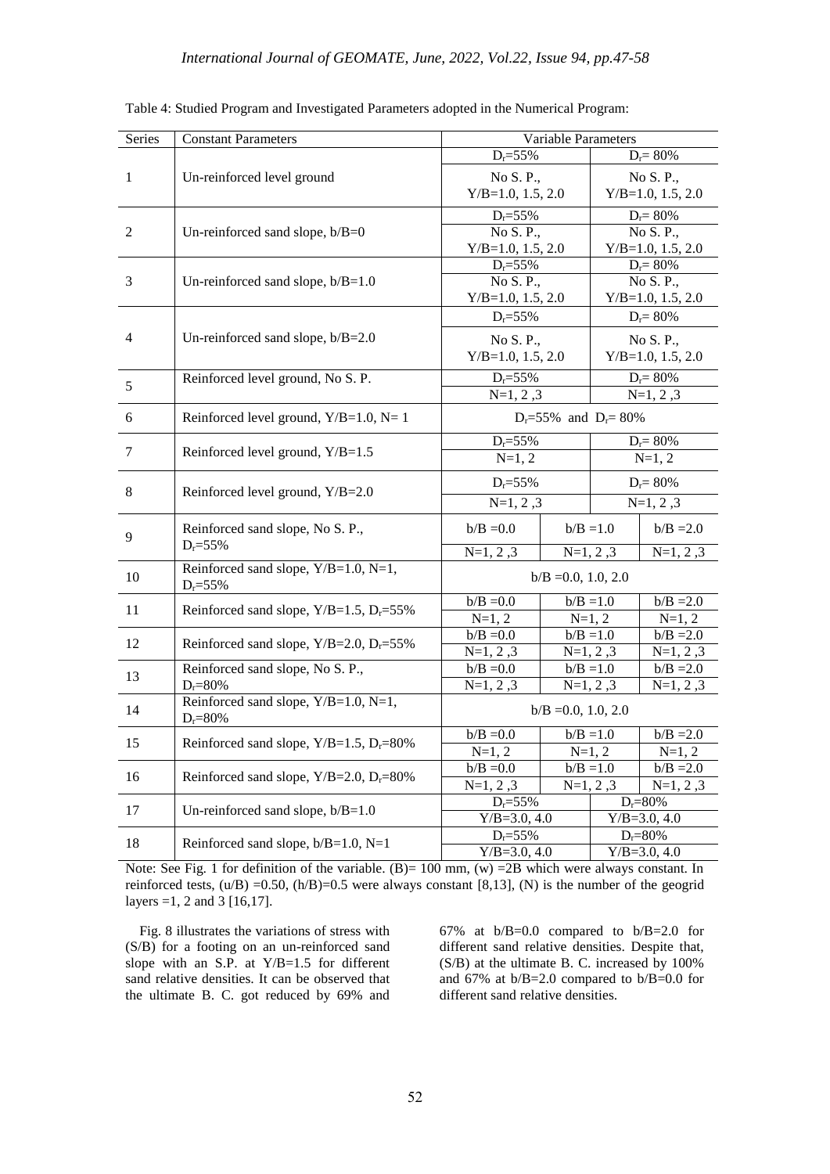| Series                                   | <b>Constant Parameters</b>                           | Variable Parameters              |                                     |                                  |                     |  |
|------------------------------------------|------------------------------------------------------|----------------------------------|-------------------------------------|----------------------------------|---------------------|--|
|                                          |                                                      | $D_r = 55\%$<br>$D_r = 80\%$     |                                     |                                  |                     |  |
| 1<br>Un-reinforced level ground          |                                                      | No S. P.,                        |                                     | No S. P.,                        |                     |  |
|                                          |                                                      | $Y/B=1.0, 1.5, 2.0$              |                                     |                                  | $Y/B=1.0, 1.5, 2.0$ |  |
|                                          |                                                      | $D_r = 55\%$                     |                                     |                                  | $D_r = 80\%$        |  |
| 2                                        | Un-reinforced sand slope, $b/B=0$                    | No S. P.,                        |                                     |                                  | No S. P.,           |  |
|                                          |                                                      | $Y/B=1.0, 1.5, 2.0$              |                                     |                                  | $Y/B=1.0, 1.5, 2.0$ |  |
|                                          |                                                      | $D_r = 55\%$                     |                                     | $D_r = 80\%$                     |                     |  |
| 3<br>Un-reinforced sand slope, $b/B=1.0$ |                                                      | No S. P.,                        |                                     | No S. P.,                        |                     |  |
|                                          |                                                      |                                  | $Y/B=1.0, 1.5, 2.0$<br>$D_r = 55\%$ |                                  | $Y/B=1.0, 1.5, 2.0$ |  |
|                                          |                                                      |                                  |                                     |                                  | $D_r = 80\%$        |  |
| $\overline{4}$                           | Un-reinforced sand slope, b/B=2.0                    | No S. P.,                        |                                     |                                  | No S. P.,           |  |
|                                          |                                                      | $Y/B=1.0, 1.5, 2.0$              |                                     | $Y/B=1.0, 1.5, 2.0$              |                     |  |
|                                          | Reinforced level ground, No S. P.                    | $D_r = 55\%$                     |                                     | $D_r = 80\%$                     |                     |  |
| 5                                        |                                                      | $N=1, 2, 3$                      |                                     |                                  | $N=1, 2, 3$         |  |
| 6                                        | Reinforced level ground, $Y/B=1.0$ , $N=1$           | $D_r = 55\%$ and $D_r = 80\%$    |                                     |                                  |                     |  |
|                                          |                                                      | $D_r = 55\%$                     |                                     | $D_r = 80\%$                     |                     |  |
|                                          | 7<br>Reinforced level ground, Y/B=1.5                |                                  | $N=1, 2$                            |                                  | $N=1, 2$            |  |
|                                          | 8<br>Reinforced level ground, Y/B=2.0                | $D_r = 55\%$<br>$D_r = 80\%$     |                                     |                                  |                     |  |
|                                          |                                                      | $N=1, 2, 3$                      |                                     | $N=1, 2, 3$                      |                     |  |
| 9                                        | Reinforced sand slope, No S. P.,<br>$D_r = 55\%$     | $b/B = 0.0$                      |                                     | $b/B = 1.0$                      | $b/B = 2.0$         |  |
|                                          |                                                      | $N=1, 2, 3$                      |                                     | $N=1, 2, 3$                      | $N=1, 2, 3$         |  |
| 10                                       | Reinforced sand slope, Y/B=1.0, N=1,<br>$D_r = 55%$  | $b/B = 0.0, 1.0, 2.0$            |                                     |                                  |                     |  |
| 11                                       | Reinforced sand slope, $Y/B=1.5$ , $D_r=55\%$        | $b/B = 0.0$                      | $b/B = 1.0$                         |                                  | $b/B = 2.0$         |  |
|                                          |                                                      | $N=1, 2$                         | $N=1, 2$                            |                                  | $N=1, 2$            |  |
| 12                                       | Reinforced sand slope, $Y/B = 2.0$ , $D_r = 55\%$    | $b/B = 0.0$                      |                                     | $b/B = 1.0$                      | $b/B = 2.0$         |  |
|                                          |                                                      | $N=1, 2, 3$                      |                                     | $N=1, 2, 3$                      | $N=1, 2, 3$         |  |
| 13                                       | Reinforced sand slope, No S. P.,                     | $b/B = 0.0$                      |                                     | $b/B = 1.0$                      | $b/B = 2.0$         |  |
|                                          | $D_r = 80\%$<br>Reinforced sand slope, Y/B=1.0, N=1, | $N=1, 2, 3$                      |                                     | $N=1, 2, 3$                      | $N=1, 2, 3$         |  |
| 14                                       | $D_r = 80\%$                                         | $b/B = 0.0, 1.0, 2.0$            |                                     |                                  |                     |  |
| 15                                       | Reinforced sand slope, $Y/B=1.5$ , $D_r=80\%$        | $b/B = 0.0$                      |                                     | $b/B = 1.0$                      | $b/B = 2.0$         |  |
|                                          |                                                      | $N=1, 2$                         |                                     | $N=1, 2$                         | $N=1, 2$            |  |
| 16                                       | Reinforced sand slope, $Y/B = 2.0$ , $D_r = 80\%$    | $b/B = 0.0$                      |                                     | $b/B = 1.0$                      | $b/B = 2.0$         |  |
|                                          |                                                      | $N=1, 2, 3$                      |                                     | $N=1, 2, 3$                      | $N=1, 2, 3$         |  |
| 17                                       | Un-reinforced sand slope, $b/B=1.0$                  | $D_r = 55\%$<br>$Y/B = 3.0, 4.0$ |                                     | $D_r = 80\%$<br>$Y/B = 3.0, 4.0$ |                     |  |
|                                          |                                                      | $D_r = 55\%$                     |                                     |                                  | $D_r = 80\%$        |  |
| 18                                       | Reinforced sand slope, $b/B=1.0$ , N=1               | $Y/B = 3.0, 4.0$                 |                                     |                                  | $Y/B = 3.0, 4.0$    |  |

Table 4: Studied Program and Investigated Parameters adopted in the Numerical Program:

Note: See Fig. 1 for definition of the variable.  $(B) = 100$  mm,  $(w) = 2B$  which were always constant. In reinforced tests,  $(u/B) = 0.50$ ,  $(h/B) = 0.5$  were always constant [8,13],  $(N)$  is the number of the geogrid layers =1, 2 and 3 [16,17].

 Fig. 8 illustrates the variations of stress with (S/B) for a footing on an un-reinforced sand slope with an S.P. at Y/B=1.5 for different sand relative densities. It can be observed that the ultimate B. C. got reduced by 69% and 67% at b/B=0.0 compared to b/B=2.0 for different sand relative densities. Despite that, (S/B) at the ultimate B. C. increased by 100% and 67% at b/B=2.0 compared to b/B=0.0 for different sand relative densities.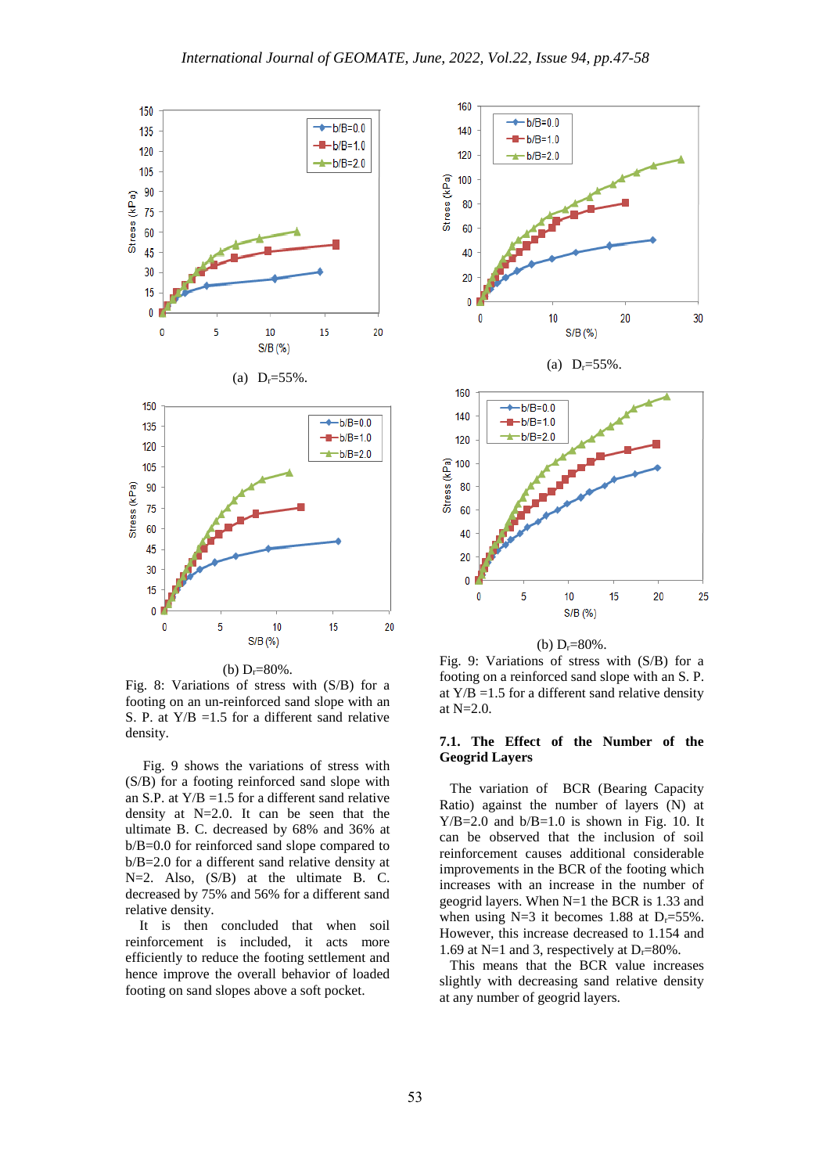

(b)  $D_r = 80\%$ .

Fig. 8: Variations of stress with (S/B) for a footing on an un-reinforced sand slope with an S. P. at  $Y/B = 1.5$  for a different sand relative density.

 Fig. 9 shows the variations of stress with (S/B) for a footing reinforced sand slope with an S.P. at  $Y/B = 1.5$  for a different sand relative density at N=2.0. It can be seen that the ultimate B. C. decreased by 68% and 36% at b/B=0.0 for reinforced sand slope compared to b/B=2.0 for a different sand relative density at N=2. Also,  $(S/B)$  at the ultimate B. C. decreased by 75% and 56% for a different sand relative density.

 It is then concluded that when soil reinforcement is included, it acts more efficiently to reduce the footing settlement and hence improve the overall behavior of loaded footing on sand slopes above a soft pocket.



(b)  $D_r = 80\%$ .

Fig. 9: Variations of stress with (S/B) for a footing on a reinforced sand slope with an S. P. at  $Y/B = 1.5$  for a different sand relative density at N=2.0.

## **7.1. The Effect of the Number of the Geogrid Layers**

 The variation of BCR (Bearing Capacity Ratio) against the number of layers (N) at  $Y/B = 2.0$  and  $b/B = 1.0$  is shown in Fig. 10. It can be observed that the inclusion of soil reinforcement causes additional considerable improvements in the BCR of the footing which increases with an increase in the number of geogrid layers. When N=1 the BCR is 1.33 and when using  $N=3$  it becomes 1.88 at  $D_r=55\%$ . However, this increase decreased to 1.154 and 1.69 at N=1 and 3, respectively at  $D_r=80\%$ .

 This means that the BCR value increases slightly with decreasing sand relative density at any number of geogrid layers.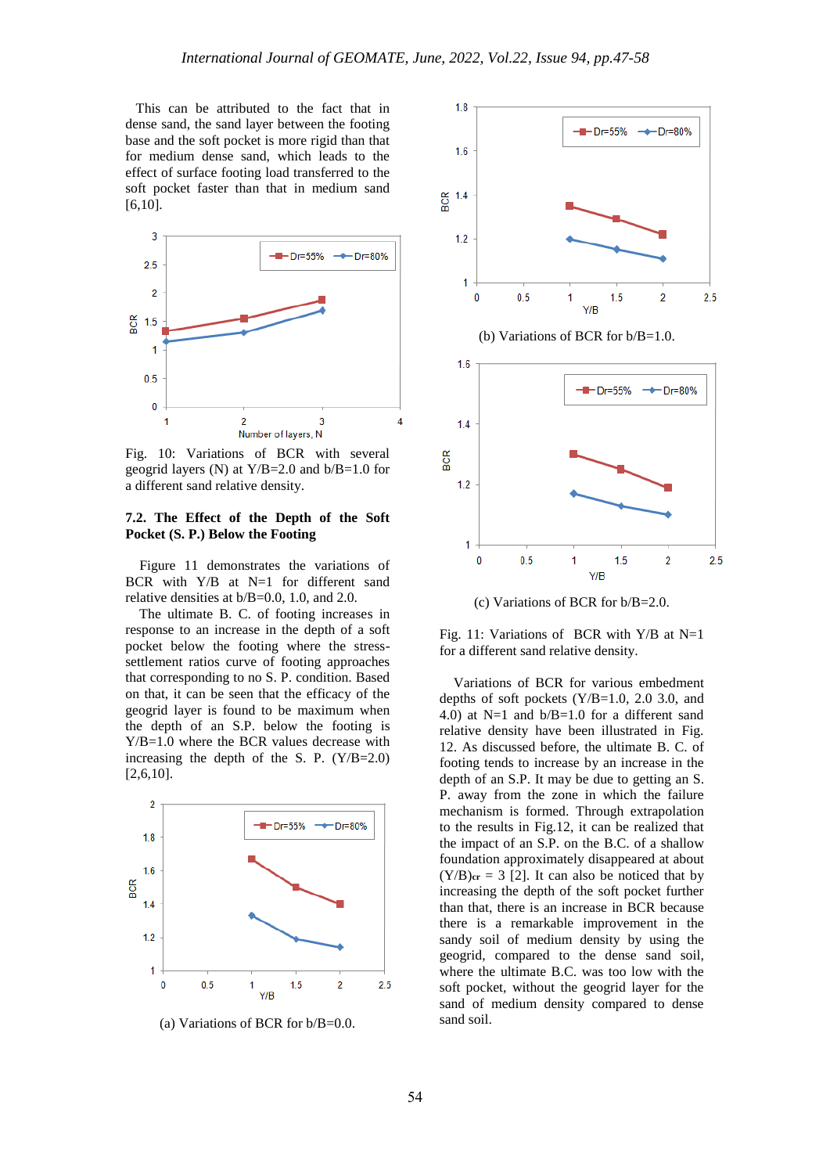This can be attributed to the fact that in dense sand, the sand layer between the footing base and the soft pocket is more rigid than that for medium dense sand, which leads to the effect of surface footing load transferred to the soft pocket faster than that in medium sand [6,10].



Fig. 10: Variations of BCR with several geogrid layers (N) at  $Y/B = 2.0$  and  $b/B = 1.0$  for a different sand relative density.

## **7.2. The Effect of the Depth of the Soft Pocket (S. P.) Below the Footing**

 Figure 11 demonstrates the variations of BCR with Y/B at N=1 for different sand relative densities at b/B=0.0, 1.0, and 2.0.

 The ultimate B. C. of footing increases in response to an increase in the depth of a soft pocket below the footing where the stresssettlement ratios curve of footing approaches that corresponding to no S. P. condition. Based on that, it can be seen that the efficacy of the geogrid layer is found to be maximum when the depth of an S.P. below the footing is Y/B=1.0 where the BCR values decrease with increasing the depth of the S. P.  $(Y/B=2.0)$ [2,6,10].



(a) Variations of BCR for b/B=0.0.



(b) Variations of BCR for b/B=1.0.



(c) Variations of BCR for b/B=2.0.

Fig. 11: Variations of BCR with Y/B at N=1 for a different sand relative density.

 Variations of BCR for various embedment depths of soft pockets (Y/B=1.0, 2.0 3.0, and 4.0) at  $N=1$  and  $b/B=1.0$  for a different sand relative density have been illustrated in Fig. 12. As discussed before, the ultimate B. C. of footing tends to increase by an increase in the depth of an S.P. It may be due to getting an S. P. away from the zone in which the failure mechanism is formed. Through extrapolation to the results in Fig.12, it can be realized that the impact of an S.P. on the B.C. of a shallow foundation approximately disappeared at about  $(Y/B)<sub>cr</sub> = 3$  [2]. It can also be noticed that by increasing the depth of the soft pocket further than that, there is an increase in BCR because there is a remarkable improvement in the sandy soil of medium density by using the geogrid, compared to the dense sand soil, where the ultimate B.C. was too low with the soft pocket, without the geogrid layer for the sand of medium density compared to dense sand soil.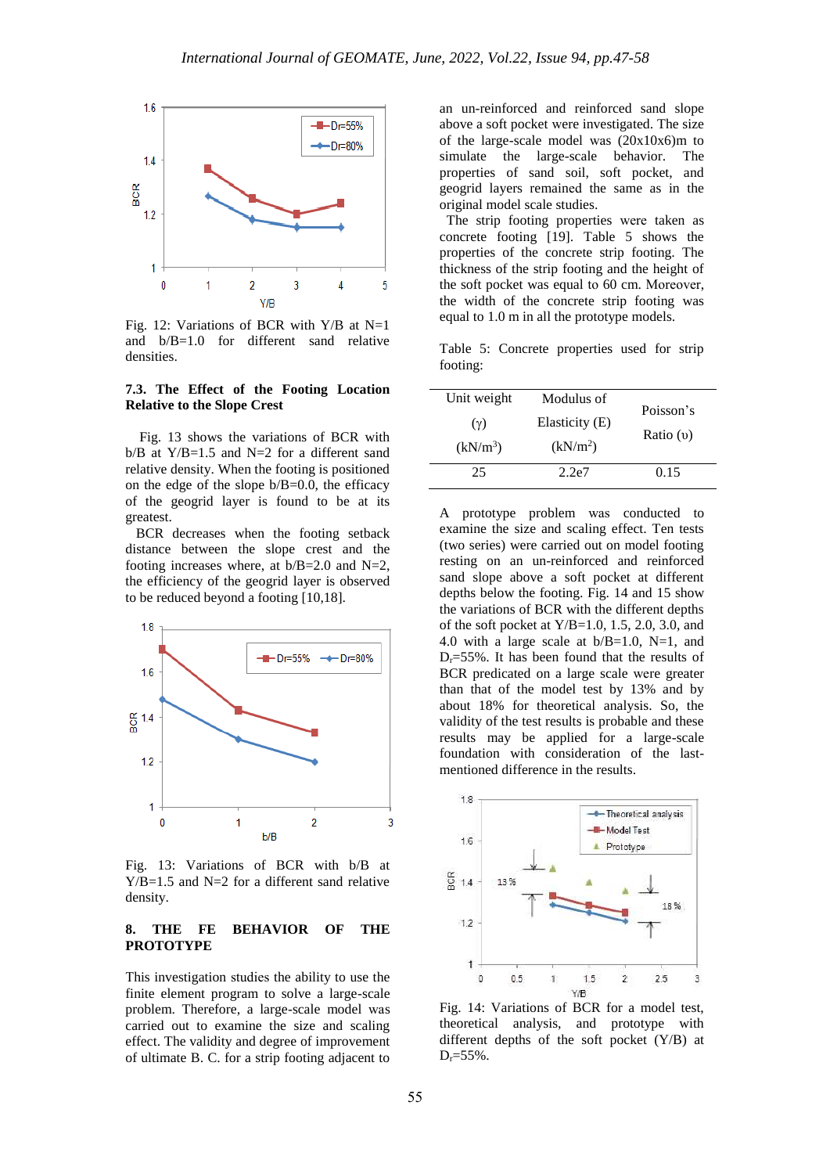

Fig. 12: Variations of BCR with Y/B at N=1 and b/B=1.0 for different sand relative densities.

#### **7.3. The Effect of the Footing Location Relative to the Slope Crest**

 Fig. 13 shows the variations of BCR with  $b/B$  at Y/B=1.5 and N=2 for a different sand relative density. When the footing is positioned on the edge of the slope  $b/B=0.0$ , the efficacy of the geogrid layer is found to be at its greatest.

 BCR decreases when the footing setback distance between the slope crest and the footing increases where, at  $b/B=2.0$  and  $N=2$ , the efficiency of the geogrid layer is observed to be reduced beyond a footing [10,18].



Fig. 13: Variations of BCR with b/B at Y/B=1.5 and N=2 for a different sand relative density.

## **8. THE FE BEHAVIOR OF THE PROTOTYPE**

This investigation studies the ability to use the finite element program to solve a large-scale problem. Therefore, a large-scale model was carried out to examine the size and scaling effect. The validity and degree of improvement of ultimate B. C. for a strip footing adjacent to

an un-reinforced and reinforced sand slope above a soft pocket were investigated. The size of the large-scale model was  $(20x10x6)$ m to simulate the large-scale behavior. The properties of sand soil, soft pocket, and geogrid layers remained the same as in the original model scale studies.

The strip footing properties were taken as concrete footing [19]. Table 5 shows the properties of the concrete strip footing. The thickness of the strip footing and the height of the soft pocket was equal to  $60$  cm. Moreover, the width of the concrete strip footing was equal to 1.0 m in all the prototype models.

Table 5: Concrete properties used for strip footing:

| Unit weight          | Modulus of           | Poisson's   |
|----------------------|----------------------|-------------|
| $(\gamma)$           | Elasticity (E)       |             |
| (kN/m <sup>3</sup> ) | (kN/m <sup>2</sup> ) | Ratio $(v)$ |
| 25                   | 2.2e7                | 0.15        |

A prototype problem was conducted to examine the size and scaling effect. Ten tests (two series) were carried out on model footing resting on an un-reinforced and reinforced sand slope above a soft pocket at different depths below the footing. Fig. 14 and 15 show the variations of BCR with the different depths of the soft pocket at  $Y/B=1.0, 1.5, 2.0, 3.0,$  and 4.0 with a large scale at  $b/B=1.0$ , N=1, and  $D_r = 55\%$ . It has been found that the results of BCR predicated on a large scale were greater than that of the model test by 13% and by about 18% for theoretical analysis. So, the validity of the test results is probable and these results may be applied for a large-scale foundation with consideration of the lastmentioned difference in the results.



Fig. 14: Variations of BCR for a model test, theoretical analysis, and prototype with different depths of the soft pocket (Y/B) at  $D_r = 55\%$ .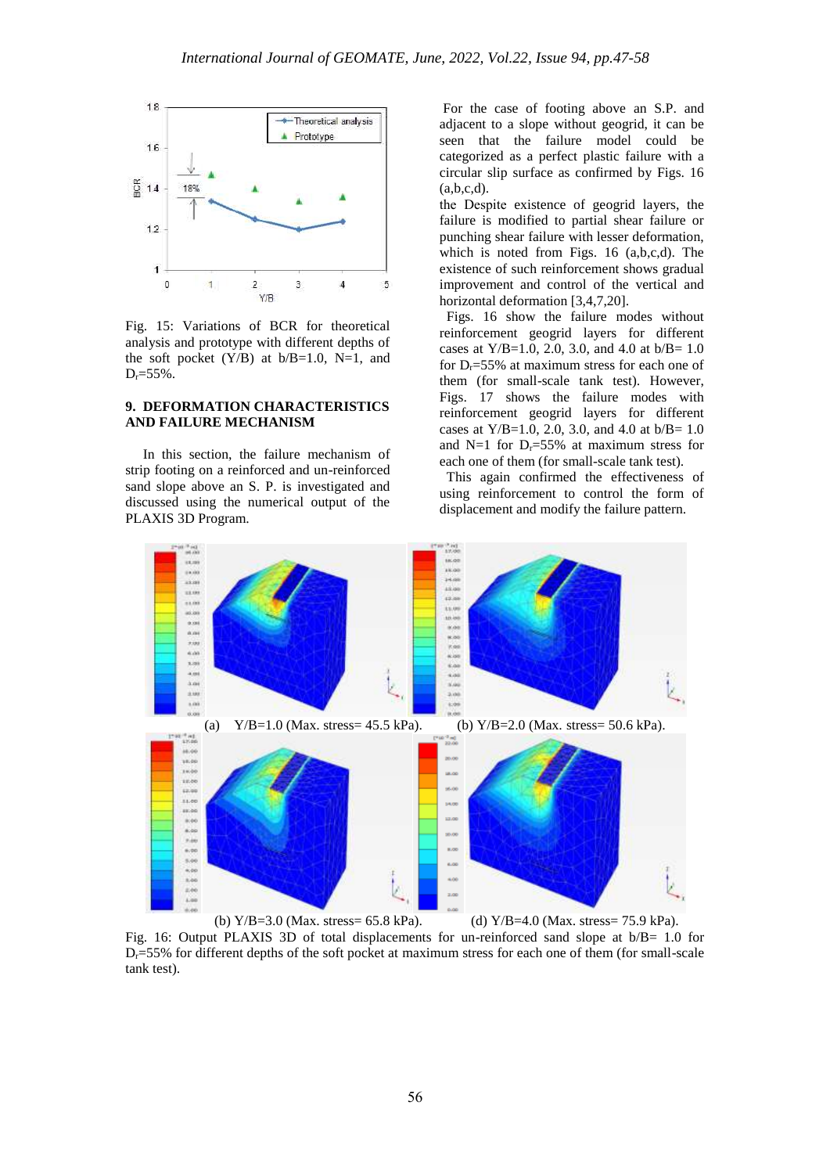

Fig. 15: Variations of BCR for theoretical analysis and prototype with different depths of the soft pocket  $(Y/B)$  at  $b/B=1.0$ , N=1, and  $D_r = 55\%$ .

## **9. DEFORMATION CHARACTERISTICS AND FAILURE MECHANISM**

 In this section, the failure mechanism of strip footing on a reinforced and un-reinforced sand slope above an S. P. is investigated and discussed using the numerical output of the PLAXIS 3D Program.

For the case of footing above an S.P. and adjacent to a slope without geogrid, it can be seen that the failure model could be categorized as a perfect plastic failure with a circular slip surface as confirmed by Figs. 16  $(a,b,c,d)$ .

the Despite existence of geogrid layers, the failure is modified to partial shear failure or punching shear failure with lesser deformation, which is noted from Figs. 16 (a,b,c,d). The existence of such reinforcement shows gradual improvement and control of the vertical and horizontal deformation [3,4,7,20].

 Figs. 16 show the failure modes without reinforcement geogrid layers for different cases at  $Y/B=1.0$ , 2.0, 3.0, and 4.0 at  $b/B=1.0$ for  $D_r = 55\%$  at maximum stress for each one of them (for small-scale tank test). However, Figs. 17 shows the failure modes with reinforcement geogrid layers for different cases at Y/B=1.0, 2.0, 3.0, and 4.0 at b/B= 1.0 and N=1 for  $D_r = 55\%$  at maximum stress for each one of them (for small-scale tank test).

 This again confirmed the effectiveness of using reinforcement to control the form of displacement and modify the failure pattern.



Fig. 16: Output PLAXIS 3D of total displacements for un-reinforced sand slope at b/B= 1.0 for  $D<sub>r</sub>=55%$  for different depths of the soft pocket at maximum stress for each one of them (for small-scale tank test).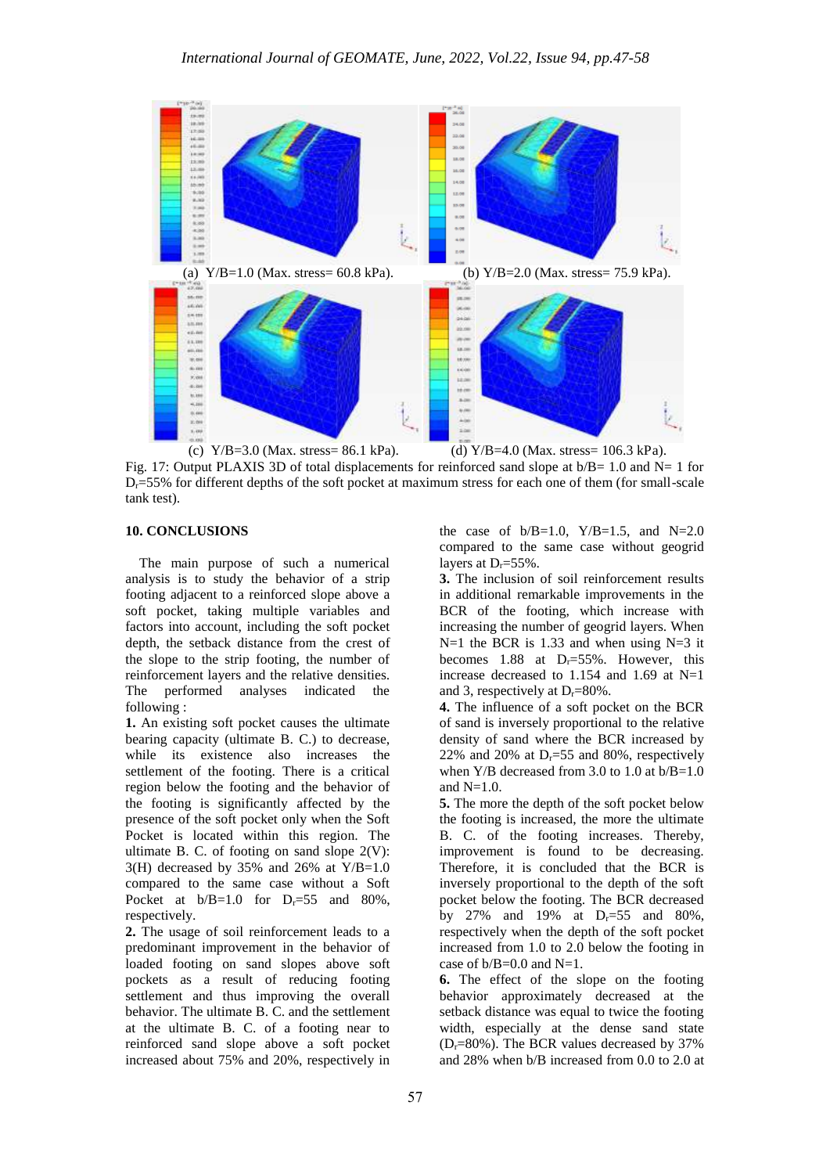

Fig. 17: Output PLAXIS 3D of total displacements for reinforced sand slope at  $b/B = 1.0$  and N= 1 for  $D<sub>r</sub>=55%$  for different depths of the soft pocket at maximum stress for each one of them (for small-scale tank test).

## **10. CONCLUSIONS**

 The main purpose of such a numerical analysis is to study the behavior of a strip footing adjacent to a reinforced slope above a soft pocket, taking multiple variables and factors into account, including the soft pocket depth, the setback distance from the crest of the slope to the strip footing, the number of reinforcement layers and the relative densities. The performed analyses indicated the following :

**1.** An existing soft pocket causes the ultimate bearing capacity (ultimate B. C.) to decrease, while its existence also increases the settlement of the footing. There is a critical region below the footing and the behavior of the footing is significantly affected by the presence of the soft pocket only when the Soft Pocket is located within this region. The ultimate B. C. of footing on sand slope  $2(V)$ : 3(H) decreased by 35% and 26% at Y/B=1.0 compared to the same case without a Soft Pocket at  $b/B=1.0$  for  $D_r=55$  and 80%, respectively.

**2.** The usage of soil reinforcement leads to a predominant improvement in the behavior of loaded footing on sand slopes above soft pockets as a result of reducing footing settlement and thus improving the overall behavior. The ultimate B. C. and the settlement at the ultimate B. C. of a footing near to reinforced sand slope above a soft pocket increased about 75% and 20%, respectively in

the case of  $b/B=1.0$ ,  $Y/B=1.5$ , and  $N=2.0$ compared to the same case without geogrid layers at  $D_r = 55\%$ .

**3.** The inclusion of soil reinforcement results in additional remarkable improvements in the BCR of the footing, which increase with increasing the number of geogrid layers. When  $N=1$  the BCR is 1.33 and when using  $N=3$  it becomes 1.88 at  $D_r = 55\%$ . However, this increase decreased to 1.154 and 1.69 at N=1 and 3, respectively at  $D_r = 80\%$ .

**4.** The influence of a soft pocket on the BCR of sand is inversely proportional to the relative density of sand where the BCR increased by 22% and 20% at  $D_r = 55$  and 80%, respectively when Y/B decreased from 3.0 to 1.0 at  $b/B=1.0$ and  $N=1.0$ .

**5.** The more the depth of the soft pocket below the footing is increased, the more the ultimate B. C. of the footing increases. Thereby, improvement is found to be decreasing. Therefore, it is concluded that the BCR is inversely proportional to the depth of the soft pocket below the footing. The BCR decreased by 27% and 19% at  $D_r = 55$  and 80%. respectively when the depth of the soft pocket increased from 1.0 to 2.0 below the footing in case of  $b/B=0.0$  and  $N=1$ .

**6.** The effect of the slope on the footing behavior approximately decreased at the setback distance was equal to twice the footing width, especially at the dense sand state  $(D_r=80\%)$ . The BCR values decreased by 37% and 28% when b/B increased from 0.0 to 2.0 at